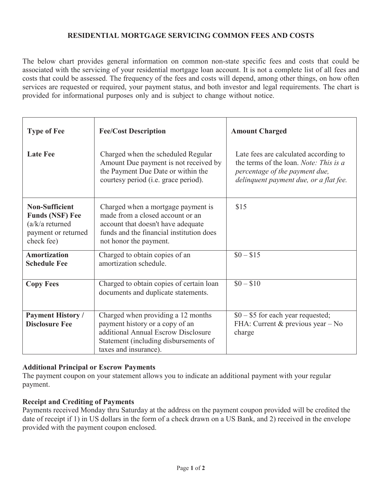### **RESIDENTIAL MORTGAGE SERVICING COMMON FEES AND COSTS**

The below chart provides general information on common non-state specific fees and costs that could be associated with the servicing of your residential mortgage loan account. It is not a complete list of all fees and costs that could be assessed. The frequency of the fees and costs will depend, among other things, on how often services are requested or required, your payment status, and both investor and legal requirements. The chart is provided for informational purposes only and is subject to change without notice.

| <b>Type of Fee</b>                                                                                        | <b>Fee/Cost Description</b>                                                                                                                                                        | <b>Amount Charged</b>                                                                                                                                       |
|-----------------------------------------------------------------------------------------------------------|------------------------------------------------------------------------------------------------------------------------------------------------------------------------------------|-------------------------------------------------------------------------------------------------------------------------------------------------------------|
| <b>Late Fee</b>                                                                                           | Charged when the scheduled Regular<br>Amount Due payment is not received by<br>the Payment Due Date or within the<br>courtesy period (i.e. grace period).                          | Late fees are calculated according to<br>the terms of the loan. Note: This is a<br>percentage of the payment due,<br>delinquent payment due, or a flat fee. |
| <b>Non-Sufficient</b><br><b>Funds (NSF) Fee</b><br>$(a/k/a$ returned<br>payment or returned<br>check fee) | Charged when a mortgage payment is<br>made from a closed account or an<br>account that doesn't have adequate<br>funds and the financial institution does<br>not honor the payment. | \$15                                                                                                                                                        |
| <b>Amortization</b><br><b>Schedule Fee</b>                                                                | Charged to obtain copies of an<br>amortization schedule.                                                                                                                           | $$0 - $15$                                                                                                                                                  |
| <b>Copy Fees</b>                                                                                          | Charged to obtain copies of certain loan<br>documents and duplicate statements.                                                                                                    | $$0 - $10$                                                                                                                                                  |
| <b>Payment History /</b><br><b>Disclosure Fee</b>                                                         | Charged when providing a 12 months<br>payment history or a copy of an<br>additional Annual Escrow Disclosure<br>Statement (including disbursements of<br>taxes and insurance).     | $$0 - $5$ for each year requested;<br>FHA: Current & previous year $-$ No<br>charge                                                                         |

#### **Additional Principal or Escrow Payments**

The payment coupon on your statement allows you to indicate an additional payment with your regular payment.

#### **Receipt and Crediting of Payments**

Payments received Monday thru Saturday at the address on the payment coupon provided will be credited the date of receipt if 1) in US dollars in the form of a check drawn on a US Bank, and 2) received in the envelope provided with the payment coupon enclosed.